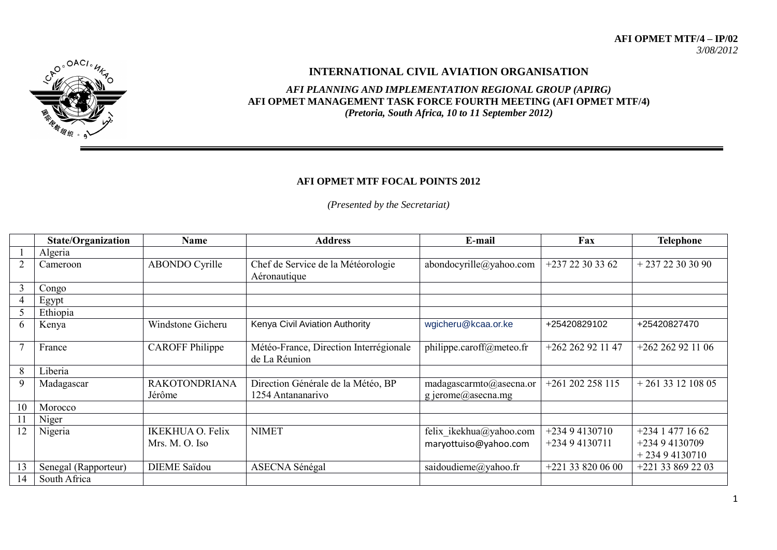## **AFI OPMET MTF/4 – IP/02** *3/08/2012*



## **INTERNATIONAL CIVIL AVIATION ORGANISATION**

*AFI PLANNING AND IMPLEMENTATION REGIONAL GROUP (APIRG)* **AFI OPMET MANAGEMENT TASK FORCE FOURTH MEETING (AFI OPMET MTF/4)**  *(Pretoria, South Africa, 10 to 11 September 2012)*

## **AFI OPMET MTF FOCAL POINTS 2012**

*(Presented by the Secretariat)*

|        | <b>State/Organization</b> | <b>Name</b>                               | <b>Address</b>                                          | E-mail                                           | Fax                              | <b>Telephone</b>                                   |
|--------|---------------------------|-------------------------------------------|---------------------------------------------------------|--------------------------------------------------|----------------------------------|----------------------------------------------------|
|        | Algeria                   |                                           |                                                         |                                                  |                                  |                                                    |
| 2      | Cameroon                  | <b>ABONDO Cyrille</b>                     | Chef de Service de la Météorologie<br>Aéronautique      | abondocyrille@yahoo.com                          | $+23722303362$                   | $+23722303090$                                     |
| 3      | Congo                     |                                           |                                                         |                                                  |                                  |                                                    |
| 4      | Egypt                     |                                           |                                                         |                                                  |                                  |                                                    |
| 5      | Ethiopia                  |                                           |                                                         |                                                  |                                  |                                                    |
| 6      | Kenya                     | Windstone Gicheru                         | Kenya Civil Aviation Authority                          | wgicheru@kcaa.or.ke                              | +25420829102                     | +25420827470                                       |
| $\tau$ | France                    | <b>CAROFF</b> Philippe                    | Météo-France, Direction Interrégionale<br>de La Réunion | philippe.caroff@meteo.fr                         | $+262262921147$                  | $+262262921106$                                    |
| 8      | Liberia                   |                                           |                                                         |                                                  |                                  |                                                    |
| 9      | Madagascar                | <b>RAKOTONDRIANA</b><br>Jérôme            | Direction Générale de la Météo, BP<br>1254 Antananarivo | madagascarmto@asecna.or<br>g jerome@asecna.mg    | $+261202258115$                  | $+261331210805$                                    |
| 10     | Morocco                   |                                           |                                                         |                                                  |                                  |                                                    |
| 11     | Niger                     |                                           |                                                         |                                                  |                                  |                                                    |
| 12     | Nigeria                   | <b>IKEKHUA O. Felix</b><br>Mrs. M. O. Iso | <b>NIMET</b>                                            | felix ikekhua@yahoo.com<br>maryottuiso@yahoo.com | $+23494130710$<br>$+23494130711$ | $+23414771662$<br>$+23494130709$<br>$+23494130710$ |
| 13     | Senegal (Rapporteur)      | <b>DIEME</b> Saïdou                       | <b>ASECNA Sénégal</b>                                   | saidoudieme@yahoo.fr                             | +221 33 820 06 00                | +221 33 869 22 03                                  |
| 14     | South Africa              |                                           |                                                         |                                                  |                                  |                                                    |